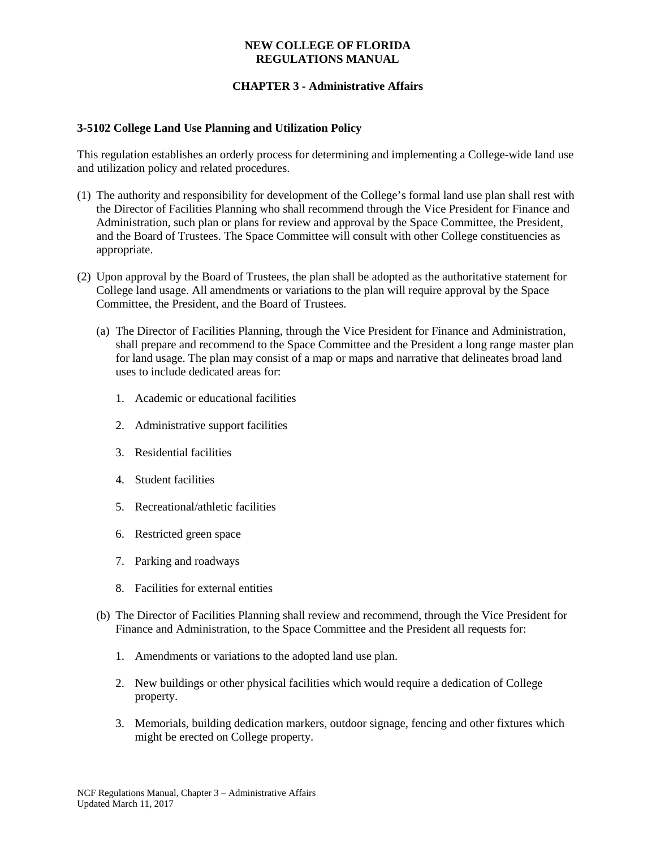### **NEW COLLEGE OF FLORIDA REGULATIONS MANUAL**

# **CHAPTER 3 - Administrative Affairs**

## **3-5102 College Land Use Planning and Utilization Policy**

This regulation establishes an orderly process for determining and implementing a College-wide land use and utilization policy and related procedures.

- (1) The authority and responsibility for development of the College's formal land use plan shall rest with the Director of Facilities Planning who shall recommend through the Vice President for Finance and Administration, such plan or plans for review and approval by the Space Committee, the President, and the Board of Trustees. The Space Committee will consult with other College constituencies as appropriate.
- (2) Upon approval by the Board of Trustees, the plan shall be adopted as the authoritative statement for College land usage. All amendments or variations to the plan will require approval by the Space Committee, the President, and the Board of Trustees.
	- (a) The Director of Facilities Planning, through the Vice President for Finance and Administration, shall prepare and recommend to the Space Committee and the President a long range master plan for land usage. The plan may consist of a map or maps and narrative that delineates broad land uses to include dedicated areas for:
		- 1. Academic or educational facilities
		- 2. Administrative support facilities
		- 3. Residential facilities
		- 4. Student facilities
		- 5. Recreational/athletic facilities
		- 6. Restricted green space
		- 7. Parking and roadways
		- 8. Facilities for external entities
	- (b) The Director of Facilities Planning shall review and recommend, through the Vice President for Finance and Administration, to the Space Committee and the President all requests for:
		- 1. Amendments or variations to the adopted land use plan.
		- 2. New buildings or other physical facilities which would require a dedication of College property.
		- 3. Memorials, building dedication markers, outdoor signage, fencing and other fixtures which might be erected on College property.